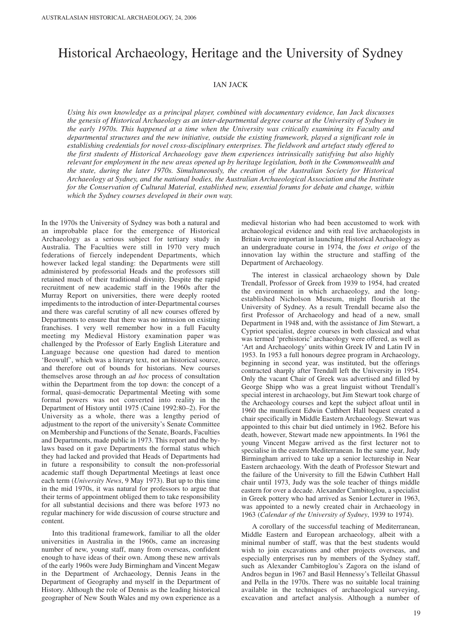# Historical Archaeology, Heritage and the University of Sydney

#### IAN JACK

*Using his own knowledge as a principal player, combined with documentary evidence, Ian Jack discusses the genesis of Historical Archaeology as an inter-departmental degree course at the University of Sydney in the early 1970s. This happened at a time when the University was critically examining its Faculty and departmental structures and the new initiative, outside the existing framework, played a significant role in establishing credentials for novel cross-disciplinary enterprises. The fieldwork and artefact study offered to the first students of Historical Archaeology gave them experiences intrinsically satisfying but also highly relevant for employment in the new areas opened up by heritage legislation, both in the Commonwealth and the state, during the later 1970s. Simultaneously, the creation of the Australian Society for Historical Archaeology at Sydney, and the national bodies, the Australian Archaeological Association and the Institute for the Conservation of Cultural Material, established new, essential forums for debate and change, within which the Sydney courses developed in their own way.*

In the 1970s the University of Sydney was both a natural and an improbable place for the emergence of Historical Archaeology as a serious subject for tertiary study in Australia. The Faculties were still in 1970 very much federations of fiercely independent Departments, which however lacked legal standing: the Departments were still administered by professorial Heads and the professors still retained much of their traditional divinity. Despite the rapid recruitment of new academic staff in the 1960s after the Murray Report on universities, there were deeply rooted impediments to the introduction of inter-Departmental courses and there was careful scrutiny of all new courses offered by Departments to ensure that there was no intrusion on existing franchises. I very well remember how in a full Faculty meeting my Medieval History examination paper was challenged by the Professor of Early English Literature and Language because one question had dared to mention 'Beowulf', which was a literary text, not an historical source, and therefore out of bounds for historians. New courses themselves arose through an *ad hoc* process of consultation within the Department from the top down: the concept of a formal, quasi-democratic Departmental Meeting with some formal powers was not converted into reality in the Department of History until 1975 (Caine 1992:80–2). For the University as a whole, there was a lengthy period of adjustment to the report of the university's Senate Committee on Membership and Functions of the Senate, Boards, Faculties and Departments, made public in 1973. This report and the bylaws based on it gave Departments the formal status which they had lacked and provided that Heads of Departments had in future a responsibility to consult the non-professorial academic staff though Departmental Meetings at least once each term (*University News*, 9 May 1973). But up to this time in the mid 1970s, it was natural for professors to argue that their terms of appointment obliged them to take responsibility for all substantial decisions and there was before 1973 no regular machinery for wide discussion of course structure and content.

Into this traditional framework, familiar to all the older universities in Australia in the 1960s, came an increasing number of new, young staff, many from overseas, confident enough to have ideas of their own. Among these new arrivals of the early 1960s were Judy Birmingham and Vincent Megaw in the Department of Archaeology, Dennis Jeans in the Department of Geography and myself in the Department of History. Although the role of Dennis as the leading historical geographer of New South Wales and my own experience as a

medieval historian who had been accustomed to work with archaeological evidence and with real live archaeologists in Britain were important in launching Historical Archaeology as an undergraduate course in 1974, the *fons et origo* of the innovation lay within the structure and staffing of the Department of Archaeology.

The interest in classical archaeology shown by Dale Trendall, Professor of Greek from 1939 to 1954, had created the environment in which archaeology, and the longestablished Nicholson Museum, might flourish at the University of Sydney. As a result Trendall became also the first Professor of Archaeology and head of a new, small Department in 1948 and, with the assistance of Jim Stewart, a Cypriot specialist, degree courses in both classical and what was termed 'prehistoric' archaeology were offered, as well as 'Art and Archaeology' units within Greek IV and Latin IV in 1953. In 1953 a full honours degree program in Archaeology, beginning in second year, was instituted, but the offerings contracted sharply after Trendall left the University in 1954. Only the vacant Chair of Greek was advertised and filled by George Shipp who was a great linguist without Trendall's special interest in archaeology, but Jim Stewart took charge of the Archaeology courses and kept the subject afloat until in 1960 the munificent Edwin Cuthbert Hall bequest created a chair specifically in Middle Eastern Archaeology. Stewart was appointed to this chair but died untimely in 1962. Before his death, however, Stewart made new appointments. In 1961 the young Vincent Megaw arrived as the first lecturer not to specialise in the eastern Mediterranean. In the same year, Judy Birmingham arrived to take up a senior lectureship in Near Eastern archaeology. With the death of Professor Stewart and the failure of the University to fill the Edwin Cuthbert Hall chair until 1973, Judy was the sole teacher of things middle eastern for over a decade. Alexander Cambitoglou, a specialist in Greek pottery who had arrived as Senior Lecturer in 1963, was appointed to a newly created chair in Archaeology in 1963 (*Calendar of the University of Sydney*, 1939 to 1974).

A corollary of the successful teaching of Mediterranean, Middle Eastern and European archaeology, albeit with a minimal number of staff, was that the best students would wish to join excavations and other projects overseas, and especially enterprises run by members of the Sydney staff, such as Alexander Cambitoglou's Zagora on the island of Andros begun in 1967 and Basil Hennessy's Telleilat Ghassul and Pella in the 1970s. There was no suitable local training available in the techniques of archaeological surveying, excavation and artefact analysis. Although a number of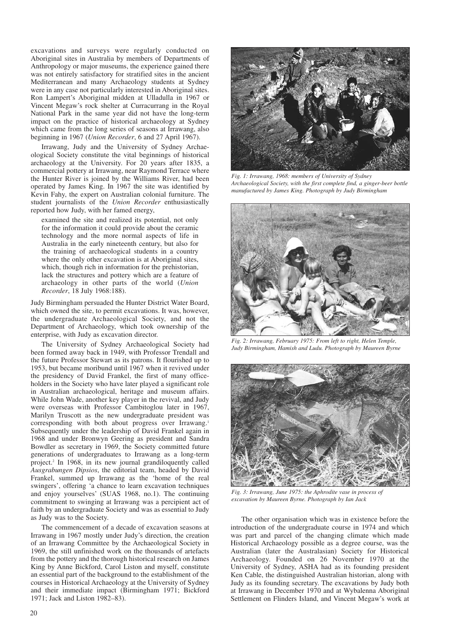excavations and surveys were regularly conducted on Aboriginal sites in Australia by members of Departments of Anthropology or major museums, the experience gained there was not entirely satisfactory for stratified sites in the ancient Mediterranean and many Archaeology students at Sydney were in any case not particularly interested in Aboriginal sites. Ron Lampert's Aboriginal midden at Ulladulla in 1967 or Vincent Megaw's rock shelter at Curracurrang in the Royal National Park in the same year did not have the long-term impact on the practice of historical archaeology at Sydney which came from the long series of seasons at Irrawang, also beginning in 1967 (*Union Recorder*, 6 and 27 April 1967).

Irrawang, Judy and the University of Sydney Archaeological Society constitute the vital beginnings of historical archaeology at the University. For 20 years after 1835, a commercial pottery at Irrawang, near Raymond Terrace where the Hunter River is joined by the Williams River, had been operated by James King. In 1967 the site was identified by Kevin Fahy, the expert on Australian colonial furniture. The student journalists of the *Union Recorder* enthusiastically reported how Judy, with her famed energy,

examined the site and realized its potential, not only for the information it could provide about the ceramic technology and the more normal aspects of life in Australia in the early nineteenth century, but also for the training of archaeological students in a country where the only other excavation is at Aboriginal sites, which, though rich in information for the prehistorian, lack the structures and pottery which are a feature of archaeology in other parts of the world (*Union Recorder*, 18 July 1968:188).

Judy Birmingham persuaded the Hunter District Water Board, which owned the site, to permit excavations. It was, however, the undergraduate Archaeological Society, and not the Department of Archaeology, which took ownership of the enterprise, with Judy as excavation director.

The University of Sydney Archaeological Society had been formed away back in 1949, with Professor Trendall and the future Professor Stewart as its patrons. It flourished up to 1953, but became moribund until 1967 when it revived under the presidency of David Frankel, the first of many officeholders in the Society who have later played a significant role in Australian archaeological, heritage and museum affairs. While John Wade, another key player in the revival, and Judy were overseas with Professor Cambitoglou later in 1967, Marilyn Truscott as the new undergraduate president was corresponding with both about progress over Irrawang.<sup>1</sup> Subsequently under the leadership of David Frankel again in 1968 and under Bronwyn Geering as president and Sandra Bowdler as secretary in 1969, the Society committed future generations of undergraduates to Irrawang as a long-term project.2 In 1968, in its new journal grandiloquently called *Ausgrabungen Dipsios*, the editorial team, headed by David Frankel, summed up Irrawang as the 'home of the real swingers', offering 'a chance to learn excavation techniques and enjoy yourselves' (SUAS 1968, no.1). The continuing commitment to swinging at Irrawang was a percipient act of faith by an undergraduate Society and was as essential to Judy as Judy was to the Society.

The commencement of a decade of excavation seasons at Irrawang in 1967 mostly under Judy's direction, the creation of an Irrawang Committee by the Archaeological Society in 1969, the still unfinished work on the thousands of artefacts from the pottery and the thorough historical research on James King by Anne Bickford, Carol Liston and myself, constitute an essential part of the background to the establishment of the courses in Historical Archaeology at the University of Sydney and their immediate impact (Birmingham 1971; Bickford 1971; Jack and Liston 1982–83).



*Fig. 1: Irrawang, 1968: members of University of Sydney Archaeological Society, with the first complete find, a ginger-beer bottle manufactured by James King. Photograph by Judy Birmingham*



*Fig. 2: Irrawang, February 1975: From left to right, Helen Temple, Judy Birmingham, Hamish and Ludu. Photograph by Maureen Byrne*



*Fig. 3: Irrawang, June 1975: the Aphrodite vase in process of excavation by Maureen Byrne. Photograph by Ian Jack*

The other organisation which was in existence before the introduction of the undergraduate course in 1974 and which was part and parcel of the changing climate which made Historical Archaeology possible as a degree course, was the Australian (later the Australasian) Society for Historical Archaeology. Founded on 26 November 1970 at the University of Sydney, ASHA had as its founding president Ken Cable, the distinguished Australian historian, along with Judy as its founding secretary. The excavations by Judy both at Irrawang in December 1970 and at Wybalenna Aboriginal Settlement on Flinders Island, and Vincent Megaw's work at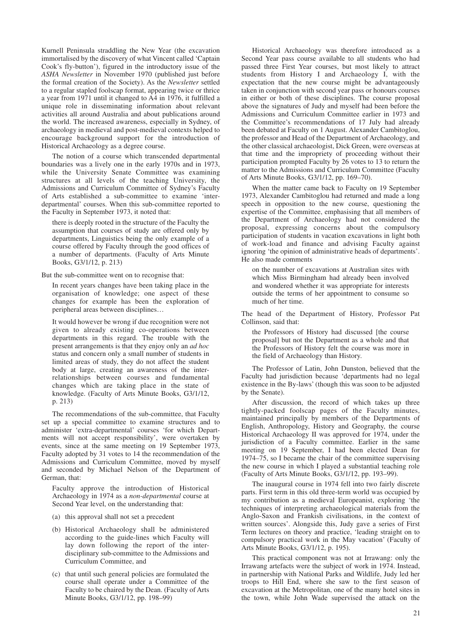Kurnell Peninsula straddling the New Year (the excavation immortalised by the discovery of what Vincent called 'Captain Cook's fly-button'), figured in the introductory issue of the *ASHA Newsletter* in November 1970 (published just before the formal creation of the Society). As the *Newsletter* settled to a regular stapled foolscap format, appearing twice or thrice a year from 1971 until it changed to A4 in 1976, it fulfilled a unique role in disseminating information about relevant activities all around Australia and about publications around the world. The increased awareness, especially in Sydney, of archaeology in medieval and post-medieval contexts helped to encourage background support for the introduction of Historical Archaeology as a degree course.

The notion of a course which transcended departmental boundaries was a lively one in the early 1970s and in 1973, while the University Senate Committee was examining structures at all levels of the teaching University, the Admissions and Curriculum Committee of Sydney's Faculty of Arts established a sub-committee to examine 'interdepartmental' courses. When this sub-committee reported to the Faculty in September 1973, it noted that:

there is deeply rooted in the structure of the Faculty the assumption that courses of study are offered only by departments, Linguistics being the only example of a course offered by Faculty through the good offices of a number of departments. (Faculty of Arts Minute Books, G3/1/12, p. 213)

But the sub-committee went on to recognise that:

In recent years changes have been taking place in the organisation of knowledge; one aspect of these changes for example has been the exploration of peripheral areas between disciplines…

It would however be wrong if due recognition were not given to already existing co-operations between departments in this regard. The trouble with the present arrangements is that they enjoy only an *ad hoc* status and concern only a small number of students in limited areas of study, they do not affect the student body at large, creating an awareness of the interrelationships between courses and fundamental changes which are taking place in the state of knowledge. (Faculty of Arts Minute Books, G3/1/12, p. 213)

The recommendations of the sub-committee, that Faculty set up a special committee to examine structures and to administer 'extra-departmental' courses 'for which Departments will not accept responsibility', were overtaken by events, since at the same meeting on 19 September 1973, Faculty adopted by 31 votes to 14 the recommendation of the Admissions and Curriculum Committee, moved by myself and seconded by Michael Nelson of the Department of German, that:

Faculty approve the introduction of Historical Archaeology in 1974 as a *non-departmental* course at Second Year level, on the understanding that:

(a) this approval shall not set a precedent

- (b) Historical Archaeology shall be administered according to the guide-lines which Faculty will lay down following the report of the interdisciplinary sub-committee to the Admissions and Curriculum Committee, and
- (c) that until such general policies are formulated the course shall operate under a Committee of the Faculty to be chaired by the Dean. (Faculty of Arts Minute Books, G3/1/12, pp. 198–99)

Historical Archaeology was therefore introduced as a Second Year pass course available to all students who had passed three First Year courses, but most likely to attract students from History I and Archaeology I, with the expectation that the new course might be advantageously taken in conjunction with second year pass or honours courses in either or both of these disciplines. The course proposal above the signatures of Judy and myself had been before the Admissions and Curriculum Committee earlier in 1973 and the Committee's recommendations of 17 July had already been debated at Faculty on 1 August. Alexander Cambitoglou, the professor and Head of the Department of Archaeology, and the other classical archaeologist, Dick Green, were overseas at that time and the impropriety of proceeding without their participation prompted Faculty by 26 votes to 13 to return the matter to the Admissions and Curriculum Committee (Faculty of Arts Minute Books, G3/1/12, pp. 169–70).

When the matter came back to Faculty on 19 September 1973, Alexander Cambitoglou had returned and made a long speech in opposition to the new course, questioning the expertise of the Committee, emphasising that all members of the Department of Archaeology had not considered the proposal, expressing concerns about the compulsory participation of students in vacation excavations in light both of work-load and finance and advising Faculty against ignoring 'the opinion of administrative heads of departments'. He also made comments

on the number of excavations at Australian sites with which Miss Birmingham had already been involved and wondered whether it was appropriate for interests outside the terms of her appointment to consume so much of her time.

The head of the Department of History, Professor Pat Collinson, said that:

the Professors of History had discussed [the course proposal] but not the Department as a whole and that the Professors of History felt the course was more in the field of Archaeology than History.

The Professor of Latin, John Dunston, believed that the Faculty had jurisdiction because 'departments had no legal existence in the By-laws' (though this was soon to be adjusted by the Senate).

After discussion, the record of which takes up three tightly-packed foolscap pages of the Faculty minutes, maintained principally by members of the Departments of English, Anthropology, History and Geography, the course Historical Archaeology II was approved for 1974, under the jurisdiction of a Faculty committee. Earlier in the same meeting on 19 September, I had been elected Dean for 1974–75, so I became the chair of the committee supervising the new course in which I played a substantial teaching role (Faculty of Arts Minute Books, G3/1/12, pp. 193–99).

The inaugural course in 1974 fell into two fairly discrete parts. First term in this old three-term world was occupied by my contribution as a medieval Europeanist, exploring 'the techniques of interpreting archaeological materials from the Anglo-Saxon and Frankish civilisations, in the context of written sources'. Alongside this, Judy gave a series of First Term lectures on theory and practice, 'leading straight on to compulsory practical work in the May vacation' (Faculty of Arts Minute Books, G3/1/12, p. 195).

This practical component was not at Irrawang: only the Irrawang artefacts were the subject of work in 1974. Instead, in partnership with National Parks and Wildlife, Judy led her troops to Hill End, where she saw to the first season of excavation at the Metropolitan, one of the many hotel sites in the town, while John Wade supervised the attack on the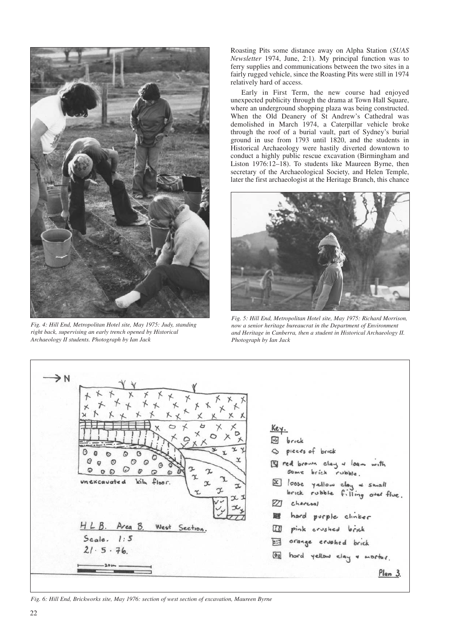

*Fig. 4: Hill End, Metropolitan Hotel site, May 1975: Judy, standing right back, supervising an early trench opened by Historical Archaeology II students. Photograph by Ian Jack*

Roasting Pits some distance away on Alpha Station (*SUAS Newsletter* 1974, June, 2:1). My principal function was to ferry supplies and communications between the two sites in a fairly rugged vehicle, since the Roasting Pits were still in 1974 relatively hard of access.

Early in First Term, the new course had enjoyed unexpected publicity through the drama at Town Hall Square, where an underground shopping plaza was being constructed. When the Old Deanery of St Andrew's Cathedral was demolished in March 1974, a Caterpillar vehicle broke through the roof of a burial vault, part of Sydney's burial ground in use from 1793 until 1820, and the students in Historical Archaeology were hastily diverted downtown to conduct a highly public rescue excavation (Birmingham and Liston 1976:12–18). To students like Maureen Byrne, then secretary of the Archaeological Society, and Helen Temple, later the first archaeologist at the Heritage Branch, this chance



*Fig. 5: Hill End, Metropolitan Hotel site, May 1975: Richard Morrison, now a senior heritage bureaucrat in the Department of Environment and Heritage in Canberra, then a student in Historical Archaeology II. Photograph by Ian Jack*



*Fig. 6: Hill End, Brickworks site, May 1976: section of west section of excavation, Maureen Byrne*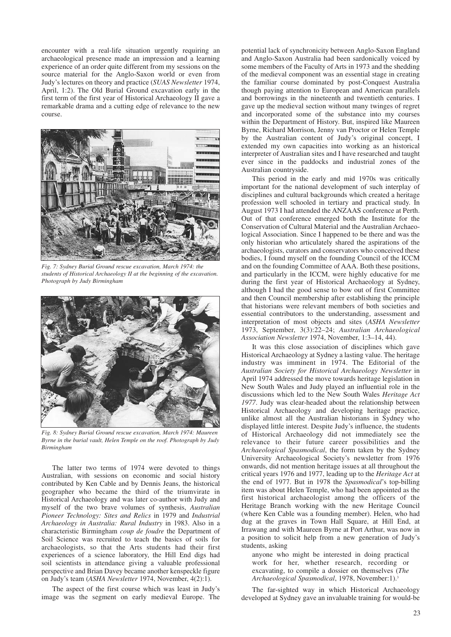encounter with a real-life situation urgently requiring an archaeological presence made an impression and a learning experience of an order quite different from my sessions on the source material for the Anglo-Saxon world or even from Judy's lectures on theory and practice (*SUAS Newsletter* 1974, April, 1:2). The Old Burial Ground excavation early in the first term of the first year of Historical Archaeology II gave a remarkable drama and a cutting edge of relevance to the new course.



*Fig. 7: Sydney Burial Ground rescue excavation, March 1974: the students of Historical Archaeology II at the beginning of the excavation. Photograph by Judy Birmingham*



*Fig. 8: Sydney Burial Ground rescue excavation, March 1974: Maureen Byrne in the burial vault, Helen Temple on the roof. Photograph by Judy Birmingham*

The latter two terms of 1974 were devoted to things Australian, with sessions on economic and social history contributed by Ken Cable and by Dennis Jeans, the historical geographer who became the third of the triumvirate in Historical Archaeology and was later co-author with Judy and myself of the two brave volumes of synthesis, *Australian Pioneer Technology: Sites and Relics* in 1979 and *Industrial Archaeology in Australia: Rural Industry* in 1983. Also in a characteristic Birmingham *coup de foudre* the Department of Soil Science was recruited to teach the basics of soils for archaeologists, so that the Arts students had their first experiences of a science laboratory, the Hill End digs had soil scientists in attendance giving a valuable professional perspective and Brian Davey became another kenspeckle figure on Judy's team (*ASHA Newsletter* 1974, November, 4(2):1).

The aspect of the first course which was least in Judy's image was the segment on early medieval Europe. The

potential lack of synchronicity between Anglo-Saxon England and Anglo-Saxon Australia had been sardonically voiced by some members of the Faculty of Arts in 1973 and the shedding of the medieval component was an essential stage in creating the familiar course dominated by post-Conquest Australia though paying attention to European and American parallels and borrowings in the nineteenth and twentieth centuries. I gave up the medieval section without many twinges of regret and incorporated some of the substance into my courses within the Department of History. But, inspired like Maureen Byrne, Richard Morrison, Jenny van Proctor or Helen Temple by the Australian content of Judy's original concept, I extended my own capacities into working as an historical interpreter of Australian sites and I have researched and taught ever since in the paddocks and industrial zones of the Australian countryside.

This period in the early and mid 1970s was critically important for the national development of such interplay of disciplines and cultural backgrounds which created a heritage profession well schooled in tertiary and practical study. In August 1973 I had attended the ANZAAS conference at Perth. Out of that conference emerged both the Institute for the Conservation of Cultural Material and the Australian Archaeological Association. Since I happened to be there and was the only historian who articulately shared the aspirations of the archaeologists, curators and conservators who conceived these bodies, I found myself on the founding Council of the ICCM and on the founding Committee of AAA. Both these positions, and particularly in the ICCM, were highly educative for me during the first year of Historical Archaeology at Sydney, although I had the good sense to bow out of first Committee and then Council membership after establishing the principle that historians were relevant members of both societies and essential contributors to the understanding, assessment and interpretation of most objects and sites (*ASHA Newsletter* 1973, September, 3(3):22–24; *Australian Archaeological Association Newsletter* 1974, November, 1:3–14, 44).

It was this close association of disciplines which gave Historical Archaeology at Sydney a lasting value. The heritage industry was imminent in 1974. The Editorial of the *Australian Society for Historical Archaeology Newsletter* in April 1974 addressed the move towards heritage legislation in New South Wales and Judy played an influential role in the discussions which led to the New South Wales *Heritage Act 1977*. Judy was clear-headed about the relationship between Historical Archaeology and developing heritage practice, unlike almost all the Australian historians in Sydney who displayed little interest. Despite Judy's influence, the students of Historical Archaeology did not immediately see the relevance to their future career possibilities and the *Archaeological Spasmodical*, the form taken by the Sydney University Archaeological Society's newsletter from 1976 onwards, did not mention heritage issues at all throughout the critical years 1976 and 1977, leading up to the *Heritage Act* at the end of 1977. But in 1978 the *Spasmodical*'s top-billing item was about Helen Temple, who had been appointed as the first historical archaeologist among the officers of the Heritage Branch working with the new Heritage Council (where Ken Cable was a founding member). Helen, who had dug at the graves in Town Hall Square, at Hill End, at Irrawang and with Maureen Byrne at Port Arthur, was now in a position to solicit help from a new generation of Judy's students, asking

anyone who might be interested in doing practical work for her, whether research, recording or excavating, to compile a dossier on themselves (*The Archaeological Spasmodical*, 1978, November:1).3

The far-sighted way in which Historical Archaeology developed at Sydney gave an invaluable training for would-be